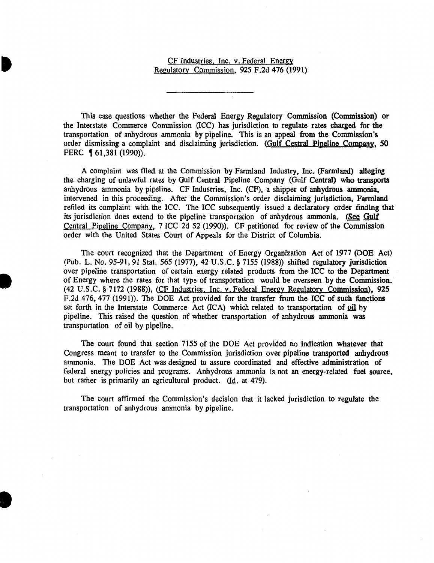# CF Industries. Inc. v. Federal Energy Regulatory Commission, 925 F.2d 476 (1991)

This case questions whether the Federal Energy Regulatory Commission (Commission) or the Interstate Commerce Commission (ICC) has jurisdiction to regulate rates charged for the transportation of anhydrous ammonia by pipeline. This is an appeal from the Commission's order dismissing a complaint and disclaiming jurisdiction. (Gulf Central Pipeline Company, 50 FERC **161,381 (1990)).** 

A complaint was filed at the Commission by Farmland Industry, Inc. (Farmland) alleging the charging of unlawful rates by Gulf Central Pipeline Company (Gulf Central) who transports anhydrous ammonia by pipeline. CF Industries, Inc. (CF), a shipper of anhydrous ammonia, intervened in this proceeding. After the Commission's order disclaiming jurisdiction, Farmland refiled its complaint with the ICC. The ICC subsequently issued a declaratory order finding that its jurisdiction does extend to the pipeline transportation of anhydrous ammonia. (See Gulf Central Pipeline Company, 7 ICC 2d 52 (1990)). CF petitioned for review of the Commission order with the United States Court of Appeals for the District of Columbia.

The court recognized that the Department of Energy Organization Act of 1977 (DOE Act) (Pub. L. No. 95-91, 91 Stat. *565* (1977), 42 U.S.C. § 7155 (1988)) shifted regulatory jurisdiction over pipeline transportation of certain energy related products from the ICC to the Department of Energy where the rates for that type of transportation would be overseen by the Commission. (42 U.S.C. § 7172 (1988)), (CF Industries. Inc. v. Federal Energy Regulatory Commission), 925 F.2d 476, 477 (1991)). The DOE Act provided for the transfer from the ICC of such functions set forth in the Interstate Commerce Act (ICA) which related to transportation of oil by pipeline. This raised the question of whether transportation of anhydrous ammonia was transportation of oil by pipeline.

I

•

The court found that section 7155 of the DOE Act provided no indication whatever that Congress meant to transfer to the Commission jurisdiction over pipeline transported anhydrous ammonia. The DOE Act was designed to assure coordinated and effective administration of federal energy policies and programs. Anhydrous ammonia is not an energy-related fuel source, but rather is primarily an agricultural product. (Id. at 479).

The court affirmed the Commission's decision that it lacked jurisdiction to regulate the transportation of anhydrous ammonia by pipeline.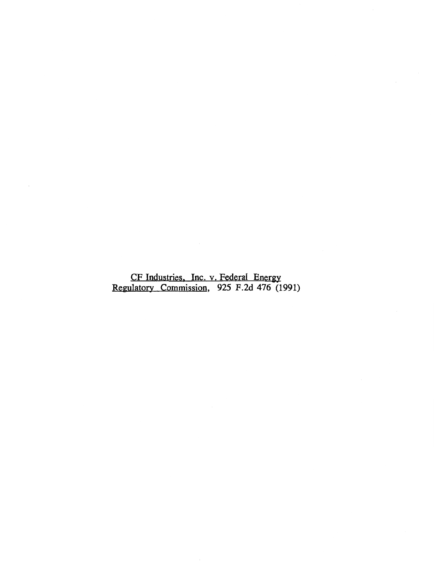CF Industries. Inc. v. Federal Energy Regulatory Commission, 925 F.2d 476 (1991)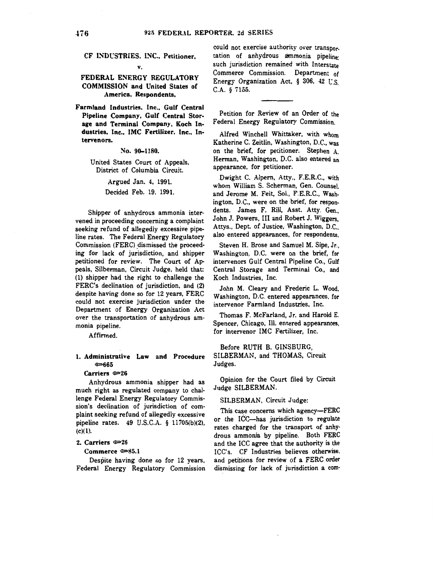## CF INDUSTRIES. INC., Petitioner, v.

### FEDERAL ENERGY REGULATORY COMMISSION and United States of America. Respondents,

Farmland Industries. Inc., Gulf Central Pipeline Company, Gulf Central Storage and Terminal Company, Koch Industries, Inc., IMC Fertilizer, Inc., Intervenors.

No. 90-1180.

United States Court of Appeals, District of Columbia Circuit.

Argued Jan. 4, 1991.

Decided Feb. 19, 1991.

Shipper of anhydrous ammonia intervened in proceeding concerning a complaint seeking refund of allegedly excessive pipeline rates. The Federal Energy Regulatory Commission (FERC) dismissed the proceeding for lack of jurisdiction, and shipper petitioned for review. The Court of Appeals, Silberman, Circuit Judge, held that: (1) shipper had the right to challenge the FERC's declination of jurisdiction, and (2) despite having done so for 12 years, FERC could not exercise jurisdiction under the Department of Energy Organization Act over the transportation of anhydrous ammonia pipeline.

Affirmed.

### 1. Administrative Law and Procedure  $\varepsilon$  665

#### Carriers  $\simeq 26$

Anhydrous ammonia shipper had as much right as regulated company to challenge Federal Energy Regulatory Commission's declination of jurisdiction of complaint seeking refund of allegedly excessive pipeline rates. 49 U.S.C.A. § 11705(b)(2), (c)(l).

#### 2. Carriers  $\approx 26$

## Commerce  $\approx 85.1$

Despite having done so for 12 years, Federal Energy Regulatory Commission

could not exercise authority over transpor. tation of anhydrous ammonia pipeline; such jurisdiction remained with Interstate Commerce Commission. Department of Energy Organization Act,  $\S$  306, 42 U.S. C.A. § 7155.

Petition for Review of an Order of the Federal Energy Regulatory Commission.

Alfred Winchell Whittaker, with whom Katherine C. Zeitlin, Washington, D.C., was on the brief, for petitioner. Stephen A. Herman, Washington, D.C. also entered an appearance, for petitioner.

Dwight C. Alpern, Atty., F.E.R.C., with whom William S. Scherman, Gen. Counsel, and Jerome M. Feit, Sol., F.E.R.C., Washington, D.C., were on the brief, for respondents. James F. Rill, Asst. Atty. Gen... John J. Powers, III and Robert J. Wiggers. Attys., Dept. of Justice, Washington, D.C., also entered appearances, for respondents.

Steven H. Brose and Samuel M. Sipe, Jr., Washington, D.C. were on the brief, for intervenors Gulf Central Pipeline Co., Gulf Central Storage and Terminal Co., and Koch Industries, Inc.

John M. Cleary and Frederic L. Wood, Washington, D.C. entered appearances, for intervenor Farmland Industries, Inc.

Thomas F. McFarland, Jr. and Harold E. Spencer, Chicago, Ill. entered appearances, for intervenor IMC Fertilizer, Inc.

Before RUTH B. GINSBURG, SILBERMAN, and THOMAS, Circuit Judges.

Opinion for the Court filed by Circuit Judge SILBERMAN.

### SILBERMAN, Circuit Judge:

This case concerns which agency-FERC or the ICC-has jurisdiction to regulate rates charged for the transport of anhy· drous ammonia by pipeline. Both FERC and the ICC agree that the authority is the ICC's. CF Industries believes otherwise. and petitions for review of a FERC order dismissing for lack of jurisdiction a com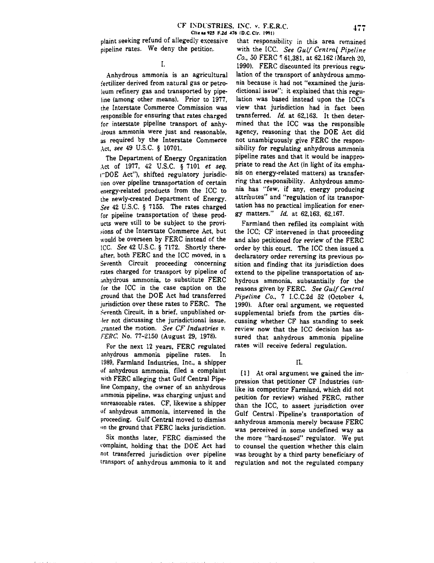plaint seeking refund of allegedly excessive pipeline rates. We deny the petition.

I.

Anhydrous ammonia is an agricultural fertilizer derived from natural gas or petro· leum refinery gas and transported by pipe· line (among other means). Prior to 1977, the Interstate Commerce Commission was responsible for ensuring that rates charged for interstate pipeline transport of anhy· drous ammonia were just and reasonable, as required by the Interstate Commerce Act, *see* 49 U.S.C. § 10701.

The Department of Energy Organization .\ct of 1977, 42 U.S.C. § 7101 *et seq.*  1"DOE Act"), shifted regulatory jurisdic· tion over pipeline transportation of certain energy-related products from the ICC to the newly-created Department of Energy. *See* 42 U.S.C. § 7155. The rates charged for pipeline transportation of these products were still to be subject to the provi sions of the Interstate Commerce Act, but would be overseen by FERC instead of the ICC. *See* 42 U.S.C. § 7172. Shortly thereafter, both FERC and the ICC moved, in a Seventh Circuit proceeding concerning rates charged for transport by pipeline of anhydrous ammonia, to substitute FERC for the ICC in the case caption on the ground that the DOE Act had transferred jurisdiction over these rates to FERC. The Seventh Circuit, in a brief, unpublished or-.Jer not discussing the jurisdictional issue, \_.:ranted the motion. *See CF Industries v.*  FERC. No. 77-2150 (August 29, 1978).

For the next 12 years, FERC regulated anhydrous ammonia pipeline rates. In 1989, Farmland Industries, Inc., a shipper uf anhydrous ammonia, filed a complaint with FERC alleging that Gulf Central Pipe· line Company, the owner of an anhydrous ammonia pipeline, was charging unjust and unreasonable rates. CF, likewise a shipper uf anhydrous ammonia, intervened in the proceeding. Gulf Central moved to dismiss on the ground that FERC lacks jurisdiction.

Six months later, FERC dismissed the romplaint, holding that the DOE Act had not transferred jurisdiction over pipeline transport of anhydrous ammonia to it and

that responsibility in this area remained with the ICC. *See Gulf Centra( Pipeline Co.*, 50 FERC <sup>1</sup> 61,381, at 62,162 (March 20, 1990). FERC discounted its previous regulation of the transport of anhydrous ammonia because it had not "examined the juris· dictional issue"; it explained that this regulation was based instead upon the ICC's view that jurisdiction had \_in fact been transferred. *!d.* at 62,163. It then determined that the ICC was the responsible agency, reasoning that the DOE Act did not unambiguously give FERC the respon· sibility for regulating anhydrous ammonia pipeline rates and that it would be inappro· priate to read the Act (in light of its empha· sis on energy-related matters) as transfer· ring that responsibility. Anhydrous ammo· nia has "few, if any, energy producing attributes" and "regulation of its transpor· tation has no practical implication for ener· gy matters." *!d.* at 62,163, 62,167.

Farmland then refiled its complaint with the ICC; CF intervened in that proceeding and also petitioned for review of the FERC order by this court. The ICC then issued a declaratory order reversing its previous po· sition and finding that its jurisdiction does extend to the pipeline transportation of an· hydrous ammonia, substantially for the reasons given by FERC. *See Gulf Central Pipeline Co..* 7 I.C.C.2d 52 (October 4, 1990). After oral argument, we requested supplemental briefs from the parties dis· cussing whether CF has standing to seek review now that the ICC decision has assured that anhydrous ammonia pipeline rates will receive federal regulation.

### II.

 $[1]$  At oral argument we gained the impression that petitioner CF Industries (unlike its competitor Farmland, which did not petition for review) wished FERC, rather than the ICC, to assert jurisdiction over Gulf Central , Pipeline's transportation of anhydrous ammonia merely because FERC was perceived in some undefined way as the more "hard-nosed" regulator. We put to counsel the question whether this claim was brought by a third party beneficiary of regulation and not the regulated company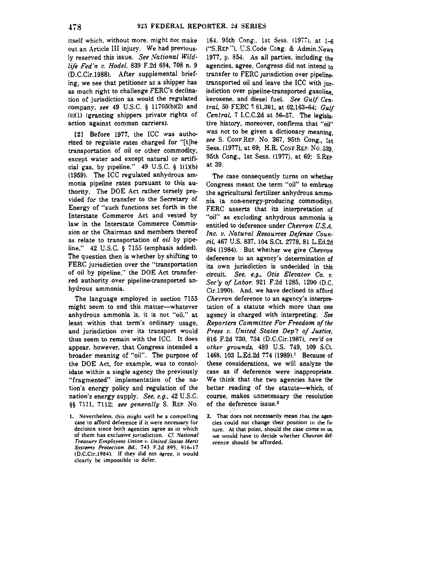itself which. without more. might not make out an Article III injury. We had previously reserved this issue. *See National Wildlife Fed 'n v. Hodel,* 839 F.2d 694, 708 n. 9 (D.C.Cir.1988). After supplemental brief· ing, we see that petitioner as a shipper has as much right to challenge FERC's declination of jurisdiction as would the regulated company, *see* 49 U.S.C. § 11705(b)(2) and (c)(l) (granting shippers private rights of action against common carriers).

[2] Before 1977, the ICC was autho· rized to regulate rates charged for "[t]he transportation of oil or other commodity, except water and except natural or artificial gas, by pipeline."  $49 \text{ U.S.C. }$  § 1(1)(b) (1959). The ICC regulated anhydrous ammonia pipeline rates pursuant to this authority. The DOE Act rather tersely pro· vided for the transfer to the Secretary of Energy of "such functions set forth in the Interstate Commerce Act and vested by law in the Interstate Commerce Commission or the Chairman and members thereof as relate to transportation of *oil* by pipe· line."  $42$  U.S.C. §  $7155$  (emphasis added). The question then is whether by shifting to FERC jurisdiction over the "transportation of oil by pipeline," the DOE Act transferred authority over pipeline-transported anhydrous ammonia.

The language employed in section 7155 might seem to end this matter-whatever anhydrous ammonia is, it is not "oil," at least within that term's ordinary usage, and jurisdiction over its transport would thus seem to remain with the ICC. It does appear, however, that Congress intended a broader meaning of "oil". The purpose of the DOE Act, for example, was to consolidate within a single agency the previously "fragmented" implementation of the na· tion's energy policy and regulation of the nation's energy supply. *See, e.g.,* 42 U.S.C. §§ 7111, 7112; *see generally* S. REP. No.

t. Nevenheless. this might well be a compelling case to afford deference if it were necessarv for decision since both agencies agree as to which of them has exclusive jurisdiction. Cf. *National Treasury Employees Union v. United States Merit Svstems Protection Bd ..* 743 F.2d 895, 916-17 <i>.C.Cir.1984). If thev did not agree. it would clearly be impossible to defer.

164. 95th Cong., 1st Sess. (1977), at 1-6 ("S.REP."), U.S.Code Cong. & Admin.News 1977, p. 854. As all parties, including the agencies, agree, Congress did not intend to transfer to FERC jurisdiction over pipelinetransported oil and leave the ICC with jurisdiction over pipeline-transported gasoline, kerosene, and diesel fuel. *See Gulf Central,* 50 FERC ~ 61,381, at 62,163-64; *Gulf Central,* 7 I.C.C.2d at 56-57. The legislative history, moreover, confirms that "oil" was not to be given a dictionary meaning. *see* S. CoNF.REP. No. 367, 95th Cong., 1st Sess. (1977), at 69; H.R. CosF.REP. No. 539, 95th Cong., 1st Sess. (1977), at 69; S.REP at 39.

The case consequently turns on whether Congress meant the term "oil" to embrace the agricultural fertilizer anhydrous ammonia (a non-energy-producing commodity). FERC asserts that its interpretation of "oil" as excluding anhydrous ammonia is entitled to deference under *Chevron U.S.A.*  Inc. v. Natural Resources Defense Coun*cil,* 467 U.S. 837, 104 S.Ct. 2778, 81 L.Ed.2d 694 (1984). But whether we give *Chevron* deference to an agency's determination of its own jurisdiction is undecided in this circuit. *See, e.g., Otis Elevator Co. v. Sec 'y of Labor,* 921 F.2d 1285, 1290 (D.C. Cir.1990). And, we have declined to afford *Chevron* deference to an agency's interpretation of a statute which more than one agency is charged with interpreting. *See Reporters Committee For Freedom of the Press* L'. *United States Dep* 't *of Justice,*  816 F.2d 730, 734 (D.C.Cir.1987), *rev'd on other grounds,* 489 U.S. 749, 109 S.Ct. 1468, 103 L.Ed.2d 774 (1989).<sup>1</sup> Because of these considerations, we will analyze the case as if deference were inappropriate. We think that the two agencies have the better reading of the statute--which, of course, makes unnecessary the resolution of the deference issue.<sup>2</sup>

2. That does not necessarily mean that the agencies could not change their position in the future. At that point, should the case come to us, we would have to decide whether *Chevron* def· erence should be afforded.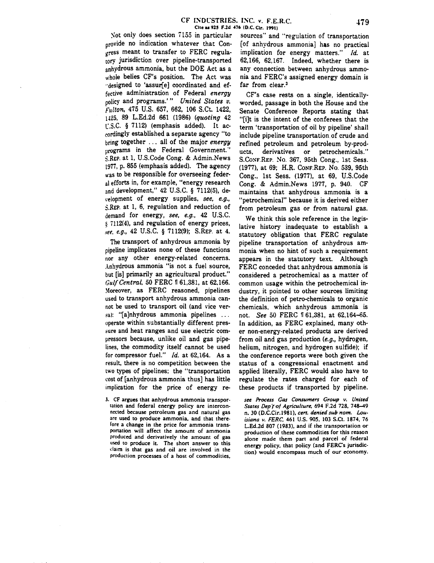Not only does section 7155 in particular provide no indication whatever that Congress meant to transfer to FERC regulatory jurisdiction over pipeline-transported anhydrous ammonia, but the DOE Act as a whole belies CF's position. The Act was ··designed to 'assurfel coordinated and effective administration of Federal *energy*  policy and programs.' " *United States v.*  fulton, 475 U.S. 657, 662, 106 S.Ct. 1422, !425, 89 L.Ed.2d 661 (1986) *(quoting* 42  $\lfloor$ .S.C. § 7112) (emphasis added). It accordingly established a separate agency "to bring together . . . all of the major *energy*  programs in the Federal Government. S.REP. at 1, U.S.Code Cong. & Admin.News !977, p. 855 (emphasis added). The agency was to be responsible for overseeing federal efforts in, for example, "energy research and development," 42 U.S.C. § 7112(5), derelopment of energy supplies, *see, e.g.,*  S.REP. at 1, 6, regulation and reduction of demand for energy, *see, e.g.,* 42 U.S.C.  $$7112(4),$  and regulation of energy prices, .~ee. *e.g.,* 42 U.S.C. § 7112(9); S.REP. at 4.

The transport of anhydrous ammonia by pipeline implicates none of these functions nor any other energy-related concerns. Anhydrous ammonia "is not a fuel source, but [is] primarily an agricultural product.'' *Gulf Central,* 50 FERC 161,381, at 62,166. Moreover, as FERC reasoned, pipelines used to transport anhydrous ammonia cannot be used to transport oil (and vice ver sa): "[a]nhydrous ammonia pipelines ... operate within substantially different pres sure and heat ranges and use electric compressors because, unlike oil and gas pipelines, the commodity itself cannot be used for compressor fuel.'' *!d.* at 62,164. As a result, there is no competition between the two types of pipelines; the "transportation cost of [anhydrous ammonia thus] has little implication for the price of energy re-

3. CF argues that anhydrous ammonia transportation and federal energy policy are interconnected because petroleum gas and natural gas are used to produce ammonia. and that there· fore a change in the price for ammonia transportation will affect the amount of ammonia produced and derivatively the amount of gas used to produce it. The short answer to this daim is that gas and oil are involved in the production processes of a host of commodities.

sources" and "regulation of transportation [of anhydrous ammonia] has no practical implication for energy matters." *Id.* at 62,166, 62,167. Indeed, whether there is any connection between anhydrous ammonia and FERC's assigned energy domain is far from clear.<sup>3</sup>

CF's case rests on a single, identicallyworded, passage in both the House and the Senate Conference Reports stating that "[i]t is the intent of the conferees that the term 'transportation of oil by pipeline' shall include pipeline transportation of crude and refined petroleum and petroleum by-products, derivatives or petrochemicals.'' S.CosF.REP. No. 367, 95th Cong., 1st Sess. (1977), at 69; H.R. CONF.REP. No. 539, 95th Cong., 1st Sess. (1977), at 69, U.S.Code Cong. & Admin.News 1977, p. 940. CF maintains that anhydrous ammonia is a "petrochemical" because it is derived either from petroleum gas or from natural gas.

We think this sole reference in the legislative history inadequate to establish a statutory obligation that FERC regulate pipeline transportation of anhydrous ammonia when no hint of such a requirement appears in the statutory text. Although FERC conceded that anhydrous ammonia is considered a petrochemical as a matter of common usage within the petrochemical industry, it pointed to other sources limiting the definition of petro-chemicals to organic chemicals, which anhydrous ammonia is not. *See* 50 FERC 161,381, at 62,164-65. In addition, as FERC explained, many other non-energy-related products are derived from oil and gas production *(e.g.,* hydrogen, helium, nitrogen, and hydrogen sulfide); if the conference reports were both given the status of a congressional enactment and applied literally, FERC would also have to regulate the rates charged for each of these products if transported by pipeline.

*see Process Gas Consumers Group v. United States Dep{of Agriculture,* 694 F.2d 728, 748-49 n. 30 (D.C.Cir.1981), *cert. denied sub nom. Louisiana v. FERC,* 461 U.S. 905. 103 S.Ct. 1874. 76 L.Ed.2d 807 (1983). and if the transportation or production of these commodities for this reason alone made them part and parcel of federal energy policy. that policy (and FERC's jurisdiction) would encompass much of our economy.